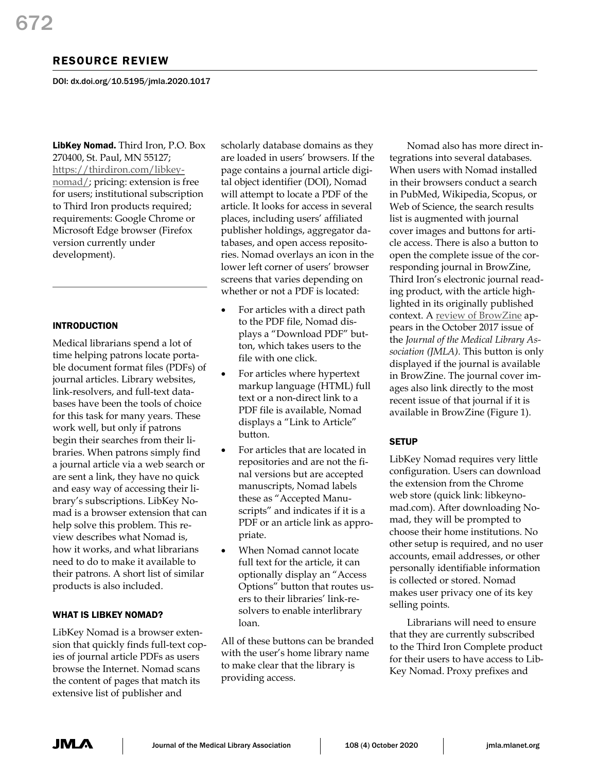# RESOURCE REVIEW

DOI: dx.doi.org/10.5195/jmla.2020.1017

LibKey Nomad. Third Iron, P.O. Box 270400, St. Paul, MN 55127; [https://thirdiron.com/libkey](https://thirdiron.com/libkey-nomad/)[nomad/;](https://thirdiron.com/libkey-nomad/) pricing: extension is free for users; institutional subscription to Third Iron products required; requirements: Google Chrome or Microsoft Edge browser (Firefox version currently under development).

### INTRODUCTION

Medical librarians spend a lot of time helping patrons locate portable document format files (PDFs) of journal articles. Library websites, link-resolvers, and full-text databases have been the tools of choice for this task for many years. These work well, but only if patrons begin their searches from their libraries. When patrons simply find a journal article via a web search or are sent a link, they have no quick and easy way of accessing their library's subscriptions. LibKey Nomad is a browser extension that can help solve this problem. This review describes what Nomad is, how it works, and what librarians need to do to make it available to their patrons. A short list of similar products is also included.

### WHAT IS LIBKEY NOMAD?

LibKey Nomad is a browser extension that quickly finds full-text copies of journal article PDFs as users browse the Internet. Nomad scans the content of pages that match its extensive list of publisher and

scholarly database domains as they are loaded in users' browsers. If the page contains a journal article digital object identifier (DOI), Nomad will attempt to locate a PDF of the article. It looks for access in several places, including users' affiliated publisher holdings, aggregator databases, and open access repositories. Nomad overlays an icon in the lower left corner of users' browser screens that varies depending on whether or not a PDF is located:

- For articles with a direct path to the PDF file, Nomad displays a "Download PDF" button, which takes users to the file with one click.
- For articles where hypertext markup language (HTML) full text or a non-direct link to a PDF file is available, Nomad displays a "Link to Article" button.
- For articles that are located in repositories and are not the final versions but are accepted manuscripts, Nomad labels these as "Accepted Manuscripts" and indicates if it is a PDF or an article link as appropriate.
- When Nomad cannot locate full text for the article, it can optionally display an "Access Options" button that routes users to their libraries' link-resolvers to enable interlibrary loan.

All of these buttons can be branded with the user's home library name to make clear that the library is providing access.

Nomad also has more direct integrations into several databases. When users with Nomad installed in their browsers conduct a search in PubMed, Wikipedia, Scopus, or Web of Science, the search results list is augmented with journal cover images and buttons for article access. There is also a button to open the complete issue of the corresponding journal in BrowZine, Third Iron's electronic journal reading product, with the article highlighted in its originally published context. A [review of BrowZine](https://doi.org/10.5195/jmla.2017.259) appears in the October 2017 issue of the *Journal of the Medical Library Association (JMLA).* This button is only displayed if the journal is available in BrowZine. The journal cover images also link directly to the most recent issue of that journal if it is available in BrowZine (Figure 1).

### **SETUP**

LibKey Nomad requires very little configuration. Users can download the extension from the Chrome web store (quick link: libkeynomad.com). After downloading Nomad, they will be prompted to choose their home institutions. No other setup is required, and no user accounts, email addresses, or other personally identifiable information is collected or stored. Nomad makes user privacy one of its key selling points.

Librarians will need to ensure that they are currently subscribed to the Third Iron Complete product for their users to have access to Lib-Key Nomad. Proxy prefixes and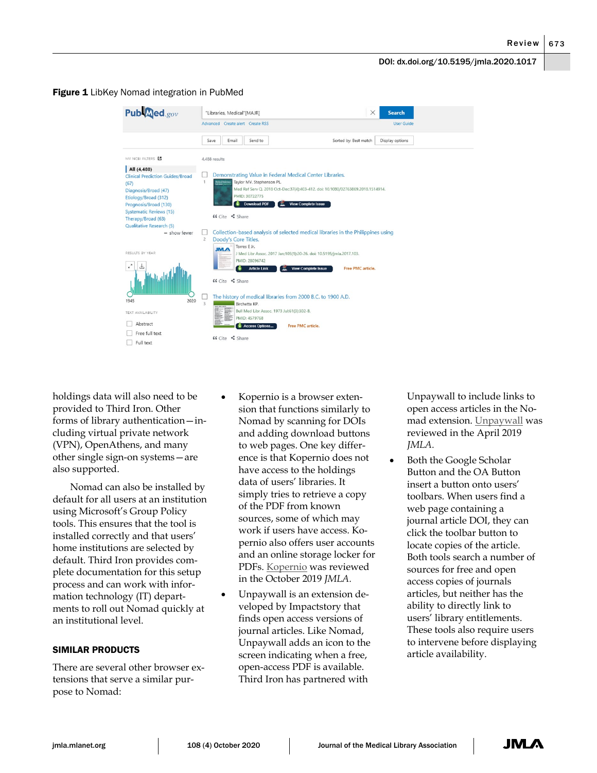### **Figure 1** LibKey Nomad integration in PubMed

| Publaned.gov                            | $\times$<br><b>Search</b><br>"Libraries, Medical"[MAJR]                          |  |
|-----------------------------------------|----------------------------------------------------------------------------------|--|
|                                         | Advanced Create alert Create RSS<br><b>User Guide</b>                            |  |
|                                         | Sorted by: Best match<br>Display options<br>Save<br>Email<br>Send to             |  |
| MY NCBI FILTERS E                       | 4,488 results                                                                    |  |
| All (4,488)                             |                                                                                  |  |
| <b>Clinical Prediction Guides/Broad</b> | Demonstrating Value in Federal Medical Center Libraries.                         |  |
| (67)                                    | 1<br>Taylor MV. Stephenson PL.<br>Medical Reference                              |  |
| Diagnosis/Broad (47)                    | Med Ref Serv Q. 2018 Oct-Dec:37(4):403-412. doi: 10.1080/02763869.2018.1514914.  |  |
| Etiology/Broad (312)                    | PMID: 30722775                                                                   |  |
| Prognosis/Broad (130)                   | <b>Download PDF</b><br><b>View Complete Issue</b>                                |  |
| <b>Systematic Reviews (15)</b>          |                                                                                  |  |
| Therapy/Broad (63)                      | 66 Cite <s share<="" td=""><td></td></s>                                         |  |
| Qualitative Research (5)                |                                                                                  |  |
| - show fewer                            | Collection-based analysis of selected medical libraries in the Philippines using |  |
|                                         | $\overline{2}$<br>Doody's Core Titles.                                           |  |
|                                         | Torres E Jr.<br><b>JMA</b>                                                       |  |
| RESULTS BY YEAR                         | J Med Libr Assoc. 2017 Jan; 105(1):20-26. doi: 10.5195/jmla.2017.103.            |  |
| $\epsilon$                              | PMID: 28096742                                                                   |  |
|                                         | <b>View Complete Issue</b><br><b>Article Link</b><br>Free PMC article.           |  |
|                                         | 66 Cite <share< td=""><td></td></share<>                                         |  |
|                                         |                                                                                  |  |
|                                         |                                                                                  |  |
| 2020<br>1945                            | The history of medical libraries from 2000 B.C. to 1900 A.D.                     |  |
|                                         | Birchette KP.                                                                    |  |
| TEXT AVAILABILITY                       | Bull Med Libr Assoc. 1973 Jul;61(3):302-8.<br>H                                  |  |
| Abstract                                | PMID: 4579768<br><b>SUSPICANT</b>                                                |  |
|                                         | <b>Access Options</b><br>Free PMC article.                                       |  |
| Free full text                          | 66 Cite <share< td=""><td></td></share<>                                         |  |
| Full text                               |                                                                                  |  |

holdings data will also need to be provided to Third Iron. Other forms of library authentication—including virtual private network (VPN), OpenAthens, and many other single sign-on systems—are also supported.

Nomad can also be installed by default for all users at an institution using Microsoft's Group Policy tools. This ensures that the tool is installed correctly and that users' home institutions are selected by default. Third Iron provides complete documentation for this setup process and can work with information technology (IT) departments to roll out Nomad quickly at an institutional level.

## SIMILAR PRODUCTS

There are several other browser extensions that serve a similar purpose to Nomad:

- Kopernio is a browser extension that functions similarly to Nomad by scanning for DOIs and adding download buttons to web pages. One key difference is that Kopernio does not have access to the holdings data of users' libraries. It simply tries to retrieve a copy of the PDF from known sources, some of which may work if users have access. Kopernio also offers user accounts and an online storage locker for PDFs. [Kopernio](https://doi.org/10.5195/jmla.2019.805) was reviewed in the October 2019 *JMLA.*
- Unpaywall is an extension developed by Impactstory that finds open access versions of journal articles. Like Nomad, Unpaywall adds an icon to the screen indicating when a free, open-access PDF is available. Third Iron has partnered with

Unpaywall to include links to open access articles in the Nomad extension. [Unpaywall](https://doi.org/10.5195/jmla.2019.650) was reviewed in the April 2019 *JMLA.*

• Both the Google Scholar Button and the OA Button insert a button onto users' toolbars. When users find a web page containing a journal article DOI, they can click the toolbar button to locate copies of the article. Both tools search a number of sources for free and open access copies of journals articles, but neither has the ability to directly link to users' library entitlements. These tools also require users to intervene before displaying article availability.